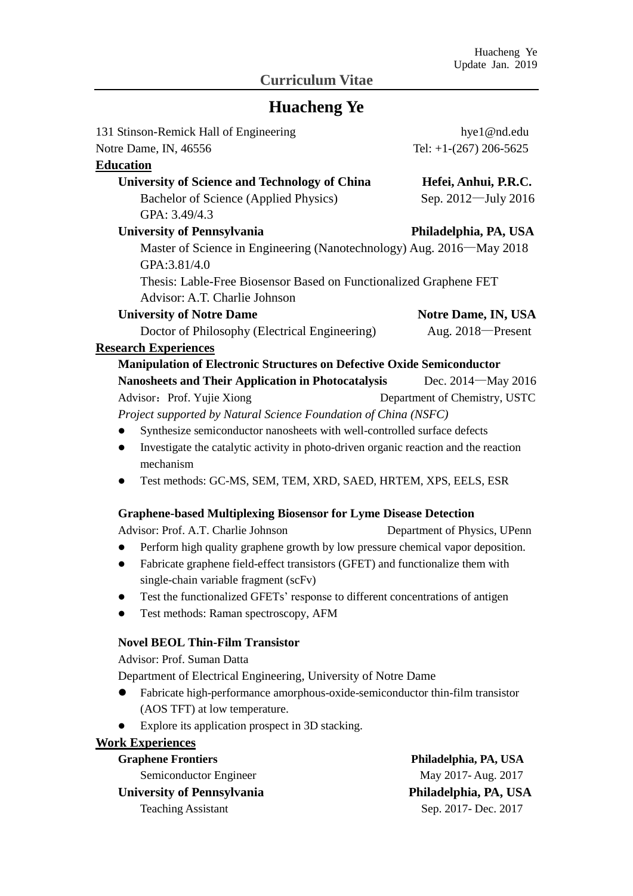## **Curriculum Vitae**

# **Huacheng Ye**

| 131 Stinson-Remick Hall of Engineering                                                            | hye1@nd.edu                   |
|---------------------------------------------------------------------------------------------------|-------------------------------|
| Notre Dame, IN, 46556                                                                             | Tel: $+1-(267)$ 206-5625      |
| <b>Education</b>                                                                                  |                               |
| <b>University of Science and Technology of China</b>                                              | Hefei, Anhui, P.R.C.          |
| Bachelor of Science (Applied Physics)                                                             | Sep. 2012-July 2016           |
| GPA: 3.49/4.3                                                                                     |                               |
| <b>University of Pennsylvania</b>                                                                 | Philadelphia, PA, USA         |
| Master of Science in Engineering (Nanotechnology) Aug. 2016—May 2018                              |                               |
| GPA:3.81/4.0                                                                                      |                               |
| Thesis: Lable-Free Biosensor Based on Functionalized Graphene FET                                 |                               |
| Advisor: A.T. Charlie Johnson                                                                     |                               |
| <b>University of Notre Dame</b>                                                                   | Notre Dame, IN, USA           |
| Doctor of Philosophy (Electrical Engineering)                                                     | Aug. 2018-Present             |
| <b>Research Experiences</b>                                                                       |                               |
| <b>Manipulation of Electronic Structures on Defective Oxide Semiconductor</b>                     |                               |
| <b>Nanosheets and Their Application in Photocatalysis</b>                                         | Dec. 2014 – May 2016          |
| Advisor: Prof. Yujie Xiong                                                                        | Department of Chemistry, USTC |
| Project supported by Natural Science Foundation of China (NSFC)                                   |                               |
| Synthesize semiconductor nanosheets with well-controlled surface defects                          |                               |
| Investigate the catalytic activity in photo-driven organic reaction and the reaction<br>$\bullet$ |                               |
| mechanism                                                                                         |                               |
| Test methods: GC-MS, SEM, TEM, XRD, SAED, HRTEM, XPS, EELS, ESR<br>$\bullet$                      |                               |
| <b>Graphene-based Multiplexing Biosensor for Lyme Disease Detection</b>                           |                               |
| Advisor: Prof. A.T. Charlie Johnson                                                               | Department of Physics, UPenn  |
| Perform high quality graphene growth by low pressure chemical vapor deposition.                   |                               |
| Fabricate graphene field-effect transistors (GFET) and functionalize them with<br>$\bullet$       |                               |
| single-chain variable fragment (scFv)                                                             |                               |
| Test the functionalized GFETs' response to different concentrations of antigen                    |                               |
| Test methods: Raman spectroscopy, AFM                                                             |                               |
| <b>Novel BEOL Thin-Film Transistor</b>                                                            |                               |
| Advisor: Prof. Suman Datta                                                                        |                               |
| Department of Electrical Engineering, University of Notre Dame                                    |                               |
| Fabricate high-performance amorphous-oxide-semiconductor thin-film transistor                     |                               |
| (AOS TFT) at low temperature.                                                                     |                               |
| Explore its application prospect in 3D stacking.                                                  |                               |
| <b>Work Experiences</b>                                                                           |                               |
| <b>Graphene Frontiers</b>                                                                         | Philadelphia, PA, USA         |
| Semiconductor Engineer                                                                            | May 2017-Aug. 2017            |
| <b>University of Pennsylvania</b>                                                                 | Philadelphia, PA, USA         |
| <b>Teaching Assistant</b>                                                                         | Sep. 2017- Dec. 2017          |
|                                                                                                   |                               |
|                                                                                                   |                               |